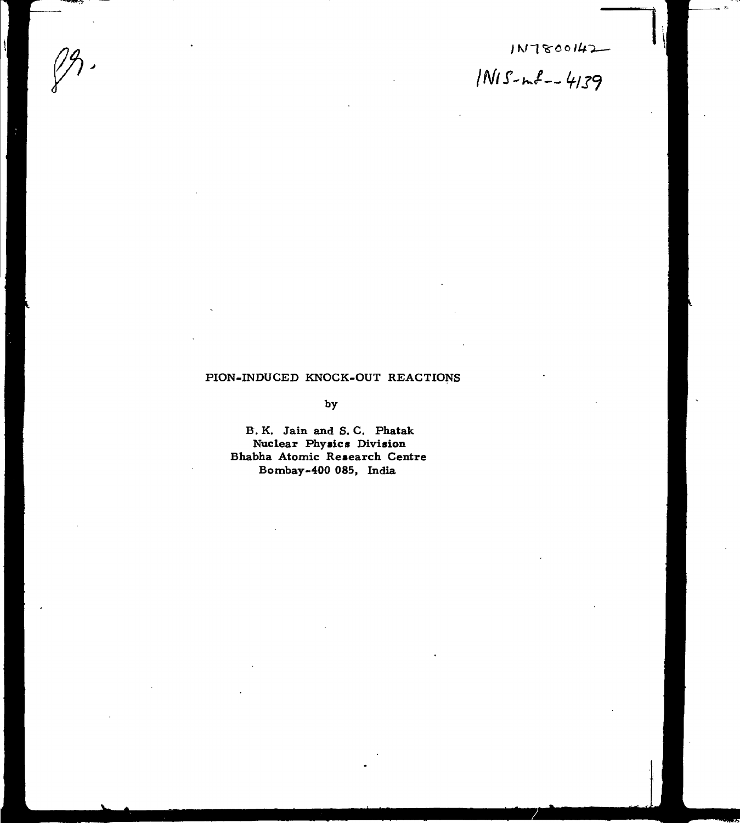# $1N7800142$ <br> $1N15-14139$

# **PION-INDUCED KNOCK-OUT REACTIONS**

**by**

**B. K. Jain and S. C. Phatak Nuclear Physics Division Bhabha Atomic Research Centre Bombay-400 085, India**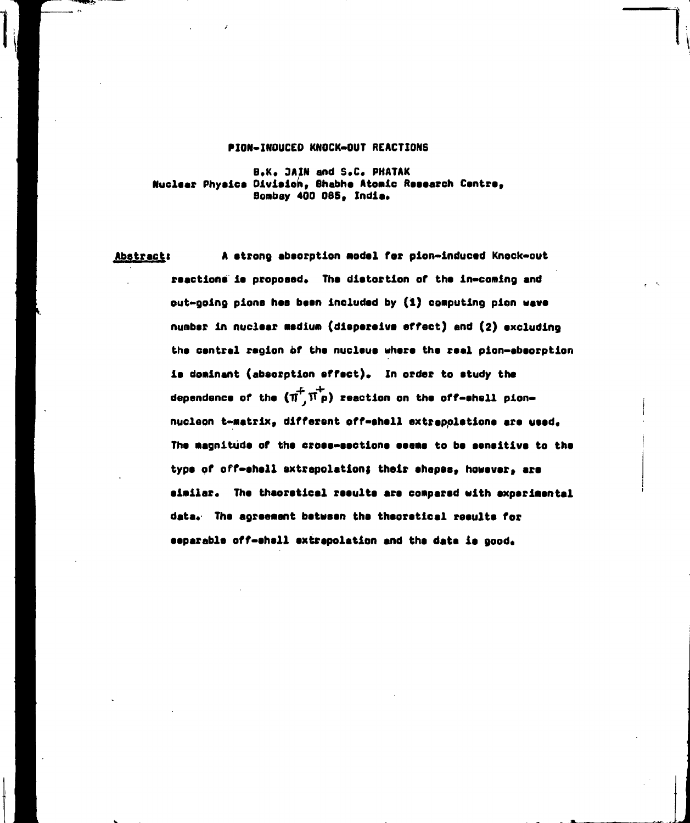# PION-INDUCED KNOCK-OUT REACTIONS

**B.K. JAIN and S.C. PHATAK** Nuclear Physics Division, Bhabhe Atomic Research Centre, Bombay 400 085, India.

A strong absorption model for pion-induced Knock-out **Abstract:** reactions is proposed. The distortion of the in-coming and out-going pions hes been included by (1) computing pion wave number in nuclear medium (dispereive effect) and (2) excluding the central region of the nucleus where the real pion-absorption is dominant (absorption effect). In order to study the dependence of the  $(\pi^{\ell}, \pi^{\pm})$  reaction on the off-shell pionnucleon t-matrix, different off-shell extrapolatione are used. The magnitude of the cross-sections esems to be sensitive to the type of off-shell extrapolation; their shapes, however, are eimilar. The thaoratical results are compared with experimental data. The agreement between the theoretical results for esparable off-shell extrepolation and the data is good.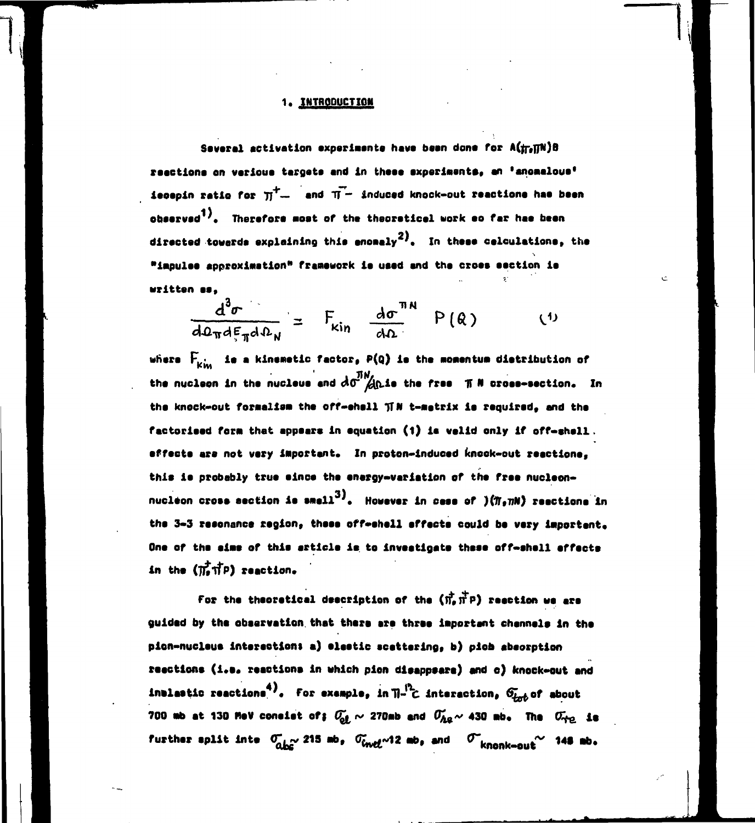# 1. INTRODUCTION

Several activation experiments have been done for A(tr.ITN)B reactions on various targets and in these experiments, an 'anomalous' iecepin ratio for  $T^+$ -- and  $T^-$  induced knock-out reactions has been observed<sup>1)</sup>. Therefore most of the theoraticel work so far has been directed towards explaining this enomaly<sup>2)</sup>. In these celculations, the "impulee approximation" framework is used and the cross section is uritten es,

$$
\frac{d^3\sigma}{d\Omega_{\pi}dE_{\pi}d\Omega_{N}} = F_{\text{kin}} \frac{d\sigma^{\pi N}}{d\Omega} P(Q)
$$
 (1)

where  $F_{\vec{k}m}$  ie a kinemetic factor, P(Q) ie the momentum dietribution of the nucleon in the nucleus and  $d\sigma^{\text{JW}}/d\Omega$  is the free  $-\pi$  N cross-section. In the knock-out formalism the off-shall TIN t-matrix is required, and the factorieed form that appears in equation (1) is valid only if off-shell. effects are not very important. In proton-induced knock-out reactione, this is probably true since the energy-variation of the free nucleonnucleon crose section is small<sup>3)</sup>. However in cess of  $)(\pi_s \pi N)$  reactions in the 3-3 resonance region, these off-shell effects could be very important. One of the eime of this article is to investigate these off-shell effects in the  $(\prod_{i=1}^{+} \prod_{i=1}^{+} P)$  reaction.

For the theoretical deecription of the  $(\vec{n}, \vec{n}^{\text{T}} P)$  reaction we are quided by the observation that there are three important channels in the pion-nucleus interections a) electic scettering, b) piob absorption reactions (i.e. reactions in which pion disappeare) and c) knock-out and inclastic reactions<sup>4)</sup>. For example, in  $T^{-12}_{\text{C}}$  interaction,  $G_{\text{int}}$  of about 700 mb at 130 MeV consist of:  $\mathcal{C}_{\text{el}} \sim$  270mb and  $\mathcal{C}_{A\text{e}} \sim$  430 mb. The  $\mathcal{C}_{\text{te}}$  is further split inte  $\sigma_{\Delta b c}$  215 mb,  $\sigma_{\text{incl}}$ ~12 mb, and  $\sigma_{\text{konck-out}}$  ~ 148 mb.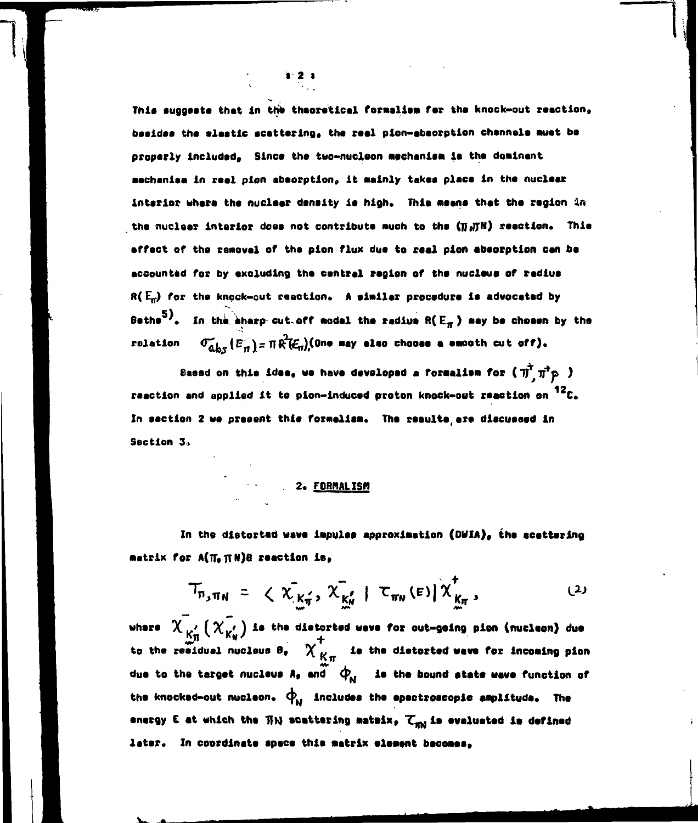This suggeste that in the theoretical formaliam for the knock-out reaction, besidee the elestic scattering, the real pion-sbaorption channels must be properly included, Since the two-nucleon mechanism is the dominant mechenism in reel pion absorption, it mainly takes place in the nuclear interior where the nucleer density ie high. This means that the region in the nuclear interior does not contribute much to the (TW) reaction. This affect of the removel of the pion flux due to real pion absorption cen be accounted for by excluding the central region of the nucleus of redius  $R(E_n)$  for the knock-out reaction. A similar procedure is advocated by Bethe<sup>5)</sup>. In the sharp cut off model the radius  $R(E_{\pi})$  may be chosen by the  $\sigma_{\alpha b s}^-(E_n^-) = \pi R^2(E_n)$  (One may elso choose a emooth cut off). relation

Based on this idea, we have developed a formaliem for ( $\vec{\pi}, \vec{\pi}^{\dagger}$ p ) reaction and applied it to pion-induced proton knock-out reaction on <sup>12</sup>C. In section 2 we present this formalism. The results are discussed in Section 3.

# 2. FORMALISM

In the distorted wave impulse approximation (DWIA), the scattering metrix for A(T, TIN)8 reaction is,

$$
T_{\pi,\pi_N} = \langle \chi_{K_{\pi}^{'}}^{\pi}, \chi_{K_{\pi}^{'}}^{\pi} | \tau_{\pi_N}(\epsilon) | \chi_{K_{\pi}^{'}}^{\pi}, \qquad (2)
$$

where  $\chi_{K_N'}^{\pi}$  ( $\chi_{K_N'}^{\pi'}$ ) is the distorted weve for out-going pion (nucleon) due<br>to the residuel nucleus  $\theta_*$   $\chi_{K_N}^{\pi}$  is the distorted weve for incoming pion due to the target nucleus A, and  $\phi_w$  is the bound state wave function of the knocksd-out nucleon.  $\varphi_{\mathsf{N}}$  includes the epectroscopic amplitude. The energy E at which the  $\pi_N$  scattering mateix,  $\tau_m$  is evaluated is defined later. In coordinate spece this matrix element becomes,

r 2 i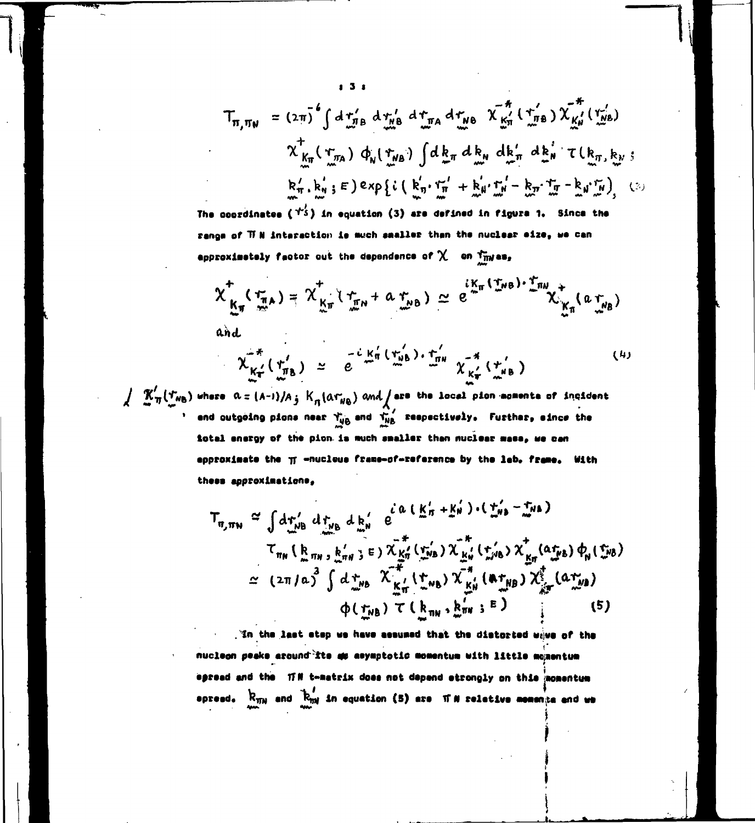$$
T_{\pi,\pi_N} = (2\pi)^6 \int d\tau_{\pi}^{\prime} d\tau_{\pi}^{\prime} d\tau_{\pi}^{\prime} d\tau_{\pi}^{\prime} d\tau_{\pi}^{\prime} d\tau_{\pi}^{\prime} d\tau_{\pi}^{\prime} d\tau_{\pi}^{\prime} d\tau_{\pi}^{\prime} d\tau_{\pi}^{\prime} d\tau_{\pi}^{\prime} d\tau_{\pi}^{\prime} d\tau_{\pi}^{\prime} d\tau_{\pi}^{\prime} d\tau_{\pi}^{\prime} d\tau_{\pi}^{\prime}
$$
  
\n
$$
\chi_{\pi}^{\dagger} (\tau_{\pi}^{\dagger} d) \phi_N(\tau_{\pi}) \int d\mathbf{k}_{\pi} d\mathbf{k}_N d\mathbf{k}_{\pi}^{\prime} d\mathbf{k}_{\pi}^{\prime} \tau (\mathbf{k}_{\pi}, \mathbf{k}_{\pi}^{\prime} s)
$$
  
\n
$$
\kappa_{\pi}^{\prime}, \mathbf{k}_{\pi}^{\prime} s = \exp\{i (\mathbf{k}_{\pi}^{\prime}, \tau_{\pi}^{\prime} + \mathbf{k}_{\pi}^{\prime} \tau_{\pi}^{\prime} - \mathbf{k}_{\pi} \tau_{\pi}^{\prime} - \mathbf{k}_{\pi} \tau_{\pi}^{\prime} s)
$$
 (3)

The coordinates ( $\Upsilon_2^{k'}$ ) in equation (3) are defined in figure 1. Since the range of TI N interaction is much smaller than the nuclear eize, we can approximately factor out the dependence of  $\chi$  on  $\tau_{\text{m}}$  as,

$$
\chi_{\underline{k}_{\pi}}^{\dagger}(\tau_{\underline{m}}^{\dagger}) = \chi_{\underline{k}_{\pi}}^{\dagger}(\tau_{\underline{m}_{N}}^{\dagger} + a \tau_{N_{\beta}}) \simeq e^{\frac{iK_{\pi}(\tau_{N_{\beta}}^{\dagger}) \cdot \tau_{\underline{m}_{N}}^{\dagger}}{2} (\omega \tau_{N_{\beta}}^{\dagger})}
$$
\nand

$$
\chi_{K_{\mathbf{T}}}^{-*}(\gamma_{\pi_{\mathbf{B}}}^{\prime}) \simeq e^{-\frac{c}{2}K_{\mathbf{T}}^{\prime}(\gamma_{\mathbf{B}}^{\prime})\cdot \zeta_{\mathbf{B}^{\prime}}^{\prime}} \chi_{K_{\mathbf{T}}^{\prime}(\gamma_{\mathbf{B}}^{\prime})}^{-*} \tag{4}
$$

 $\chi$   $\chi_{\eta}^{\prime}$  ( $r_{w_{b}}$ ) where  $a = (A-1)/A_{\frac{1}{2}}$   $K_{\eta}$  ( $a r_{w_{b}}$ ) and  $\chi_{\eta}$  are the local pion momenta of incident<br>and outgoing pions near  $r_{w_{b}}$  and  $r_{w_{b}}$  respectively. Further, since the iotal energy of the pion is much smaller than nuclear mass, we can epproximate the TT -nucleus frame-of-reference by the lab. frame. With these approximations,

$$
T_{\pi_{j} \pi_{N}} \simeq \int d\tau'_{NB} d\tau'_{NB} d\tau'_{N} e^{i a (K'_{\pi} + K'_{N}) \cdot (\tau'_{NB} - \tau'_{NB})}
$$
  
\n
$$
T_{\pi_{N}} (R_{\pi_{N}} , R'_{\pi_{N}} ) \in) \chi_{K'_{\pi}}^{*} (\tau'_{NB}) \chi_{K'_{N}}^{*} (\tau'_{NB}) \chi'_{K_{\pi}} (a\tau_{NB}) \varphi_{N} (\tau_{NB})
$$
  
\n
$$
\simeq (2\pi/a)^{3} \int d\tau_{NB} \chi_{K'_{\pi}}^{*} (\tau'_{NB}) \chi'_{K'_{N}}^{*} (a\tau_{NB}) \chi_{K'}^{*} (a\tau'_{NB})
$$
  
\n
$$
\varphi(\tau_{NB}) \tau (\kappa_{\pi_{N}} , \kappa_{\pi_{N}} ; E) \qquad (5)
$$

Th the last atep we have assumed that the distorted wave of the nucleon peake around fte as asymptotic momentum with little momentum egread and the fiff t-matrix does not depend etrongly on this momentum spreed.  $\frac{k_{\pi N}}{m_N}$  and  $\frac{k'_{\pi N}}{m_N}$  in equation (5) are  $\pi$  N relative memoria and we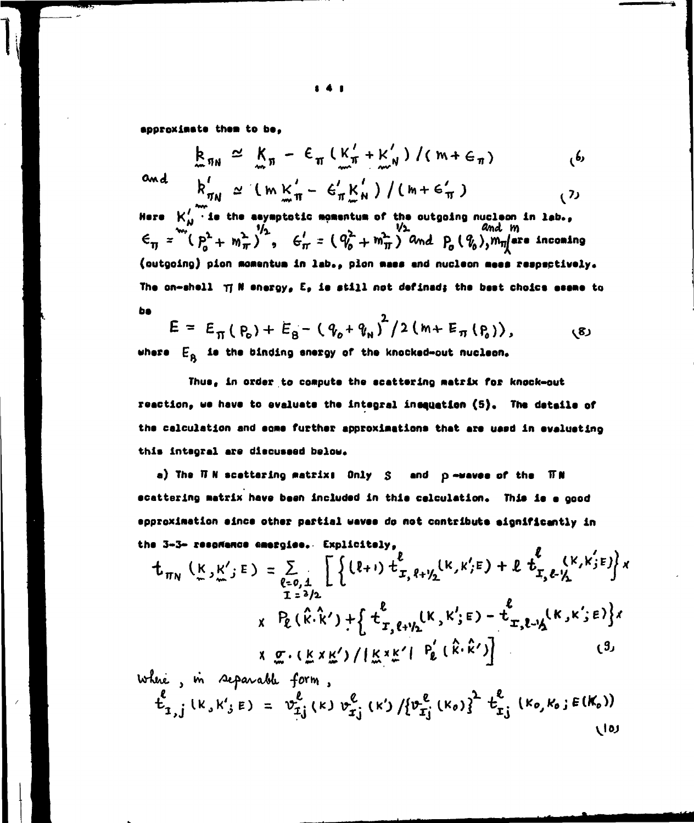#### approximate them to be.

$$
R_{\pi_N} \simeq K_{\pi} - \varepsilon_{\pi} (K'_{\pi} + K'_{\omega}) / (m + \varepsilon_{\pi})
$$
 (6)

and

$$
R_{\pi N}^{\prime} \simeq (m K_{\pi}^{\prime} - \epsilon_{\pi}^{\prime} K_{N}^{\prime}) / (m + \epsilon_{\pi}^{\prime})
$$
 (7)

Here  $K_N^{/\top}$  ie the asymptotic momentum of the outgoing nucleon in lab.,<br>  $\epsilon_{\eta} = \int_{0}^{K_N} \left( \frac{p^2}{p_0^2 + m_\pi^2} \right)^{1/2} e^{f} \left( \frac{q^2}{p_0^2 + m_\pi^2} \right) dm d \rho_0(\theta_0), m_\eta$  are incoming (outgoing) pion momentum in lab., plon mass and nucleon mees respectively. The on-shell  $\pi$  N energy, E, is still not definad; the best choics esame to be

$$
E = E_{\pi} (P_{o}) + E_{B} - (q_{o} + q_{N})^{2} / 2 (m + E_{\pi} (P_{o})),
$$
 (8)

where  $E_R$  is the binding energy of the knocked-out nucleon.

Thus, in order to compute the scattering matrix for knock-out reaction, we have to evaluate the integral inequation (5). The detaile of the calculation and eqme further approximations that are used in evaluating this integral are discussed below.

a) The IT N scettering matrix: Only S and p-waves of the ITN ecattering matrix have been included in this celculation. This is a good epproximation eince other partial waves do not contribute eignificantly in the 3-3- resomance emergies. Explicitely,

$$
t_{\pi_{N}} (\kappa, \kappa_{j}^{\prime} \varepsilon) = \sum_{\ell=0,1} \left[ \left\{ (\ell+1) \pm \frac{\ell}{r, \ell + \gamma_{2}} (\kappa, \kappa_{j}^{\prime} \varepsilon) + \ell \pm \frac{\ell}{r, \ell + \gamma_{2}} (\kappa, \kappa_{j}^{\prime} \varepsilon) \right\} \right] \times
$$
  
 
$$
x P_{\ell} (\kappa \cdot \kappa^{\prime}) + \left\{ \pm \frac{\ell}{r, \ell + \gamma_{2}} (\kappa, \kappa^{\prime} \varepsilon) - \pm \frac{\ell}{r, \ell + \gamma_{2}} (\kappa, \kappa^{\prime} \varepsilon) \right\} \times
$$
  
 
$$
x \propto (\kappa \times \kappa^{\prime}) / |\kappa \times \kappa^{\prime}| P_{\ell} (\kappa \cdot \kappa^{\prime}) \right]
$$
 (3)

Where, in separable form,  $t_{1,j}^{l}(k_{0},k_{0}^{\prime}) = v_{1,j}^{l}(k) v_{1,j}^{l}(k_{0}^{\prime}) / [v_{1,j}^{l}(k_{0})]^{2} t_{1,j}^{l}(k_{0},k_{0};E(k_{0}))$ ره ا

. . .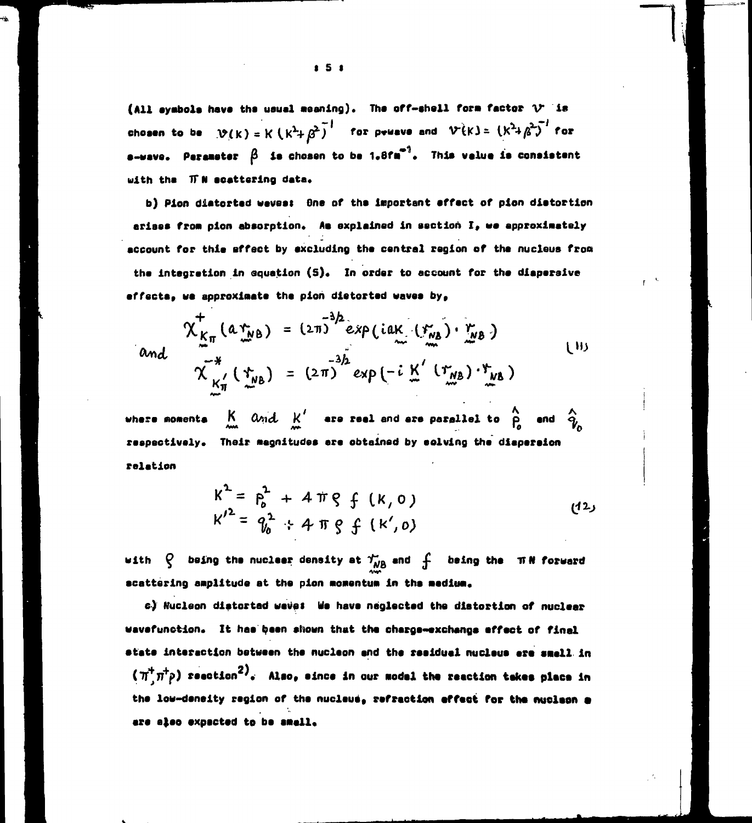(All symbols have the usual meaning). The off-shell form factor  $V^{\dagger}$  is chosen to be  $\mathcal{V}(k) = K (k^2 + \beta^2)^{-1}$  for peweve and  $V(k) = (k^2 + \beta^2)^{-1}$  for s-wave. Perameter  $\beta$  is chosen to be 1.8fm<sup>-3</sup>. This velue is consistent with the  $T\mathbb{N}$  scattering data.

b) Pion diatorted weves: One of the important effect of pion dietortion arises from pion absorption. As explained in section I, we approximately account for this effect by excluding the central region of the nucleus from the integration in equation (5). In order to account for the diapersive effecta, we approximate the pion distorted waves by,

$$
\chi_{K_{\pi}}^+(a\gamma_{NB}) = (2\pi)^{3/2} exp(iak \gamma_{NB}) \cdot \gamma_{NB})
$$
\n
$$
\chi_{K_{\pi}}^*(\gamma_{NB}) = (2\pi)^{-3/2} exp(-iK'(\gamma_{NB}) \cdot \gamma_{MB})
$$
\n(11)

where moments  $\overline{K}$  and  $\overline{K}'$  are real and are parallel to  $\overline{P}_o$  and  $\overline{Q}_o$ respectively. Their magnitudes are obtained by solving the dispersion relation

$$
K^{2} = P_{0}^{2} + 4 \pi \zeta \int (k, 0)
$$
  

$$
K'^{2} = q_{0}^{2} + 4 \pi \zeta \int (k', 0)
$$
 (12)

with  $\bigcirc$  being the nuclear density at  $\bigcirc_{\mathcal{N}B}$  and  $\bigcirc$  being the  $\pi$  N forward scattering amplitude at the pion momentum in the medium.

c) Nucleon distorted weve: We have neglected the distortion of nuclear wavefunction. It has been shown that the charge-exchange effect of final state interaction between the nucleon and the residual nucleus are small in  $(\pi^{\dagger}, \pi^{\dagger} \rho)$  reaction<sup>2)</sup>. Also, eince in our model the reaction tekes place in the low-density region of the nucleus, refraction effect for the nucleon a are also expacted to be amall.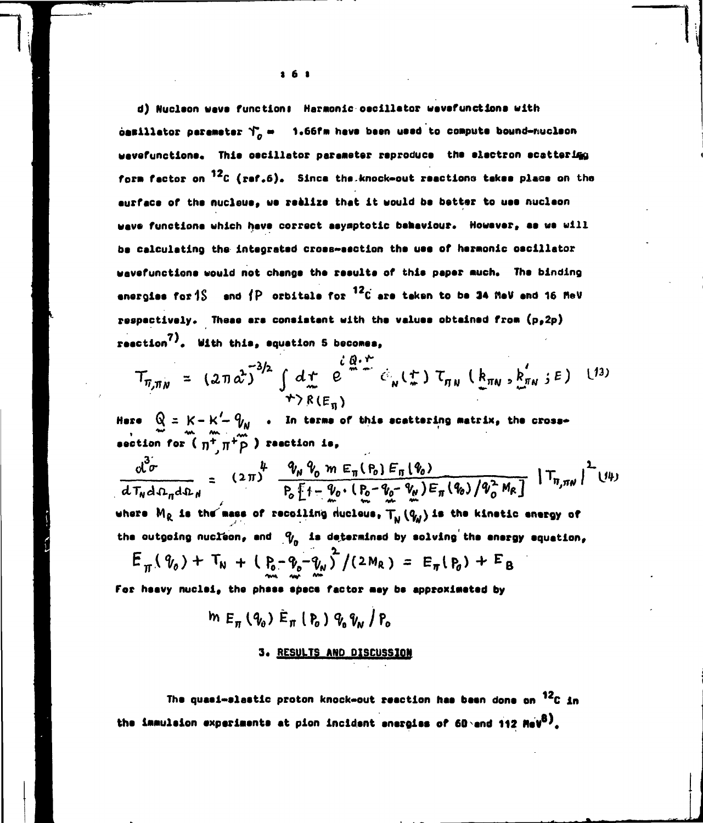d) Nucleon weve functions Harmonic oscilletor wevefunctions with ossillator peremeter  $\Upsilon_n = -1.66$ fm have baen used to compute bound-nucleon wavefunctions. This oscillator parameter reproduce the electron scattering form factor on <sup>12</sup>C (raf.6). Since the knock-out reactions takes place on the aurface of the nucleus, we realize that it would be better to use nucleon wave functions which have correct asymptotic behaviour. However, as we will be calculating the integrated cross-esction the use of hermonic oscillator wavefunctions would not change the results of this paper much. The binding energies for  $1S$  and  $\{P$  orbitale for  $^{12}C$  are taken to be 34 MeV and 16 MeV respectively. These are consistent with the values obtained from  $(p, 2p)$ reaction<sup>7)</sup>. With this, equation 5 becomes,

$$
T_{\pi_{\jmath}\pi_{N}} = (2\pi a^{2} \int d\pi \int e^{i \frac{\zeta R_{\jmath} R_{\jmath}}{R_{\jmath}} C_{N} (\frac{1}{\pi}) T_{\pi_{N}} (\frac{1}{R_{\pi_{N}}}, \frac{1}{R_{\pi_{N}}}, \frac{1}{2})} (1^{3})
$$

Here  $Q = K - K' - \mathcal{Y}_N$  . In terms of this scattering matrix, the crosssection for  $(n^+ \pi^+)^{\circ}$  ) reaction is,

$$
\frac{d^{3}\sigma}{d\tau_{N}d\Omega_{n}d\Omega_{N}} = \frac{(2\pi)^{\frac{1}{2}}}{P_{o} \left[1-\frac{q_{o}}{2}(\rho_{o} + \left(\rho_{o} - q_{o} - \frac{q_{N}}{2}\right)\right]E_{\pi}(\rho_{o})\right]^{2}} \left[\tau_{\eta_{N}}\right]^{2}(14)
$$

where  $M_R$  is the mass of recoiling nucleus,  $T_M(q_M)$  is the kinetic energy of the outgoing nucleon, and  $\gamma_{\rm e}$  is determined by solving the energy equation,

$$
E_{\pi}(\vartheta_{0}) + T_{N} + (P_{0} - \vartheta_{0} - \vartheta_{N})^{2}/(2M_{R}) = E_{\pi}(P_{0}) + E_{B}
$$

For heavy nuclei, the phase spece factor may be approximated by

$$
m E_{\pi} (q_0) \tilde{E}_{\pi} (p_0) q_0 \gamma_{\mathsf{w}} / p_0
$$

## 3. RESULTS AND DISCUSSION

The quasi-slastic proton knock-out reaction has been done on  $^{12}$ C in the immulaion experiments at pion incident energies of 60 and 112  $\texttt{Rev}^{\texttt{B}}$ .

 $161$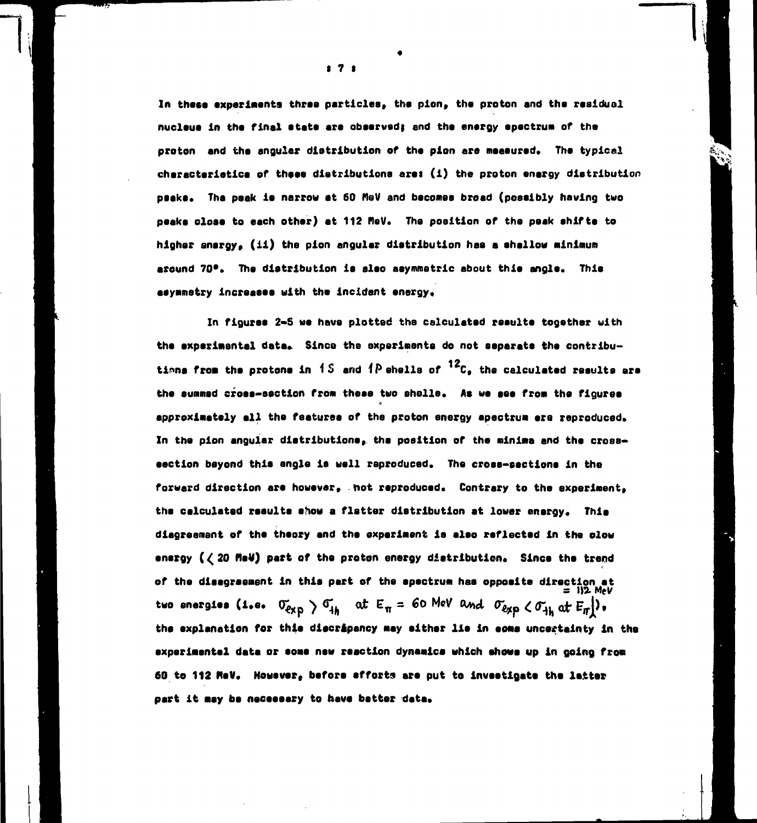In these experiments three particles, the pion, the proton and the residual nucleus in the final state are observed; and the energy epectrum of the proton and the angular distribution of the pion are measured. The typical characteristics of these distributions are: (i) the proton enargy distribution peake. The peak is narrow at 60 MeV and becomes broad (possibly having two peaks close to each other) at 112 MeV. The position of the peak shifte to higher snaroy, (ii) the pion angular distribution has a shallow minimum around 70°. The distribution is also asymmetric about this angle. This asymmetry increases with the incident energy.

In figures 2-5 we have plotted the calculated resulte together with the experimental data. Since the experiments do not separate the contributians from the protone in 1S and 1P shells of  $^{12}$ C, the calculated results are the summed cross-section from these two shelle. As we see from the figures approximately all the features of the proton energy apectrum are reproduced. In the pion angular distributions, the position of the minima and the crosseection bayond this angle is well reproduced. The cross-sections in the forward direction are however, . not reproduced. Contrary to the experiment. the celculated resulte show a flatter distribution at lower energy. This diagreement of the theory and the experiment is also reflected in the olow energy ((20 MeW) part of the proton energy distribution. Since the trend of the disegraement in this part of the epectrum has opposite direction at  $=$  1)2 MeV two energies (i.e.  $\sigma_{\exp} > \sigma_{\text{th}}$  at  $E_{\pi} = 60$  MeV and  $\sigma_{\exp} < \sigma_{\text{th}}$  at  $E_{\pi}$ ). the explanation for this discripancy may either lie in some uncertainty in the experimentel data or some new reaction dynamics which shows up in going from 60 to 112 MeV. However, before afforts are put to investigate the latter part it may be necessary to have better data.

 $2<sub>2</sub>$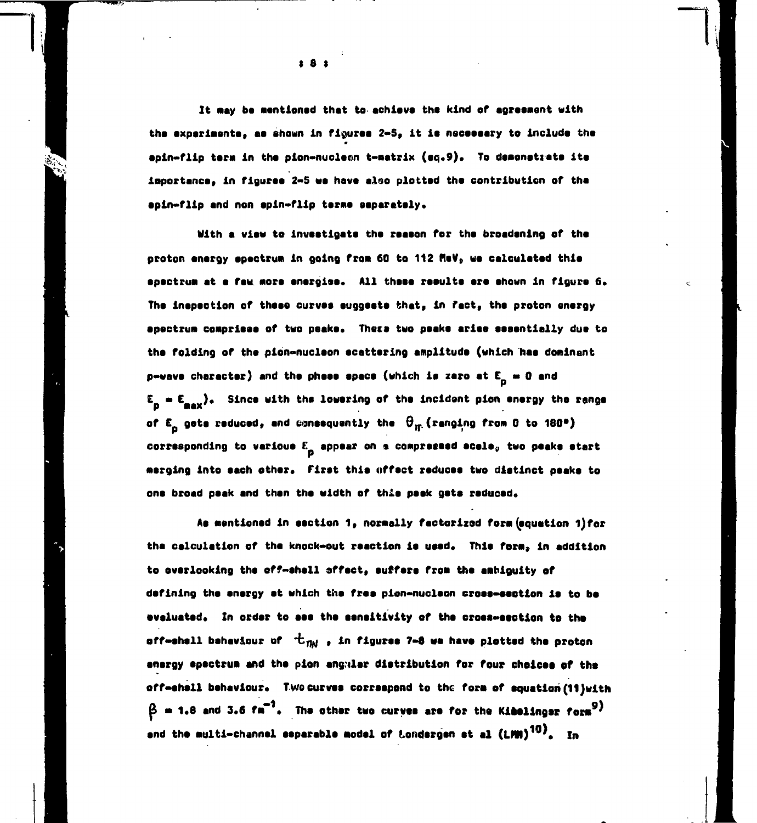It may be mentioned that to achieve the kind of agreement with the experimente, as shown in figures 2-5, it is necessary to include the epin-flip term in the pion-nucleon t-matrix (eq.9). To demonstrate ite importance, in figures 2-5 we have also plotted the contribution of the epin-flip and non epin-flip terme separately.

With a view to investigate the reason for the broadening of the oroton energy spectrum in going from 60 to 112 MeV, we calculated this spectrum at a few more energies. All these results are shown in figure 6. The inepection of these curves suggests that, in fact, the proton energy apectrum comprises of two peake. These two peake arise essentially due to the folding of the pion-nucleon scattering amplitude (which has dominant p-wave character) and the phese space (which is zero at  $E_n = 0$  and  $E_n = E_{\text{max}}$ ). Since with the lowering of the incident pion energy the range of E<sub>n</sub> gets reduced, and consequently the  $\Theta_{\rm ff}$  (ranging from 0 to 180°) corresponding to various  $E_{n}$  appear on a compressed ecele, two peaks start merging into each other. First this uffect reduces two distinct peaks to one broad peak and then the width of this peek gets reduced.

As mentioned in saction 1, normally factorized form (equation 1) for the celculation of the knock-out reaction is used. This form, in addition to overlooking the off-shell sffect, suffers from the ambiguity of defining the energy et which the free pion-nucleon cross-section is to be eveluated. In order to see the sensitivity of the cross-section to the off-shell behaviour of  $+$ <sub>nW</sub>, in figures 7-8 we have plotted the proton energy epectrum and the pion angular distribution for four chaicas of the off-shall behaviour. Two curves correspond to the form of equation (11)with  $\beta$  = 1.8 and 3.6 fm<sup>-1</sup>. The other two curves are for the Kimelinger form<sup>9)</sup> and the multi-channel separable model of Londergen at al (LMM)<sup>10)</sup>. In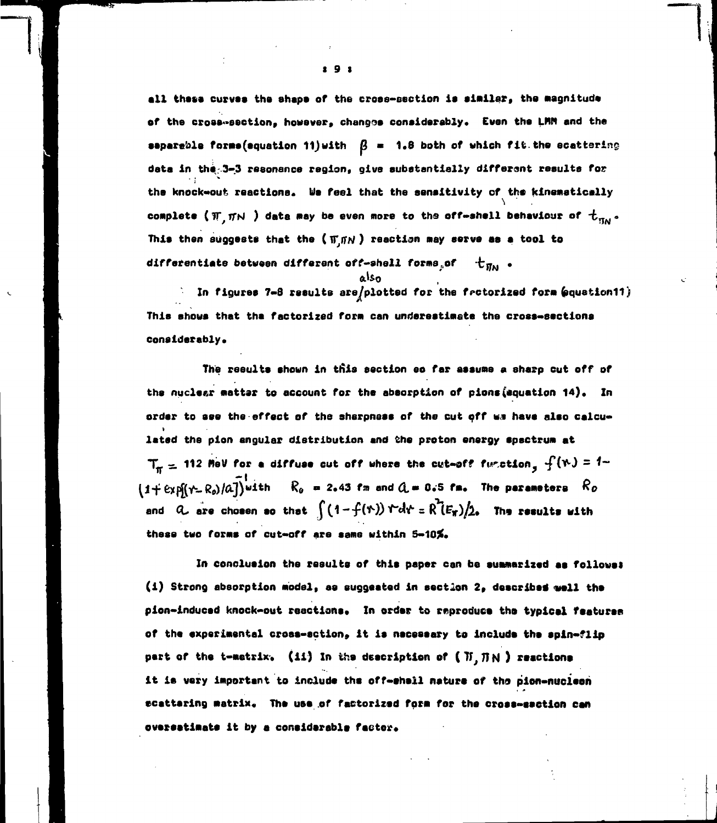ell these curves the shape of the cross-section is similar, the magnitude of the cross-section, however, changes considerably. Even the LMM and the sapareble forms (equation 11) with  $\beta$  = 1.8 both of which fit the scattering data in the 3-3 resonance region, give substantially different results for the knock-out reactions. We feel that the sensitivity of the kinematically complete ( $\pi$   $\pi$ N ) data may be even more to the off-shell behaviour of  $t_{\pi_N}$ . This then suggests that the ( $\pi_{\text{JN}}$ ) reaction may serve as a tool to differentiate between different off-shell forms of  $\pm_{\text{max}}$ .

alsa

 $\therefore$  In figures 7-8 results are/plotted for the fectorized form (equation11) This shows that tha factorized form can underestimate the cross-sections considerably.

The reeults shown in this section eo far assume a sharp cut off of the nuclear matter to account for the absorption of pions (equation 14). In order to see the effect of the sharpness of the cut off we have also calculated the pion angular distribution and the proton energy spectrum at  $T_{\pi}$  = 112 MeV for a diffuse cut off where the cut-off function,  $f(r) = 1 (1 + \exp((r - R_0)/a))$  with  $R_0 = 2.43$  fm and  $d_0 = 0.5$  fm. The parameters  $R_0$ and  $Q$  are chosen so that  $\int (1-f(r)) r dr = R^{2}(E_{\pi})/2$ . The results with these two forms of cut-off are same within 5-10%.

In conclusion the results of this paper can be summarized as follows: (i) Strong absorption model, as suggeated in section 2, describes well the pion-induced knock-out reactions. In order to reproduce the typical features of the experimental cross-sction, it is necessary to include the spin-flip part of the t-matrix. (ii) In the description of (  $\overline{H}$ ,  $\overline{H}$ N ) reactions it is very important to include the off-shall nature of the pion-nucleon ecattaring matrix. The use of factorized form for the cross-section can oversatimate it by a considerable factor.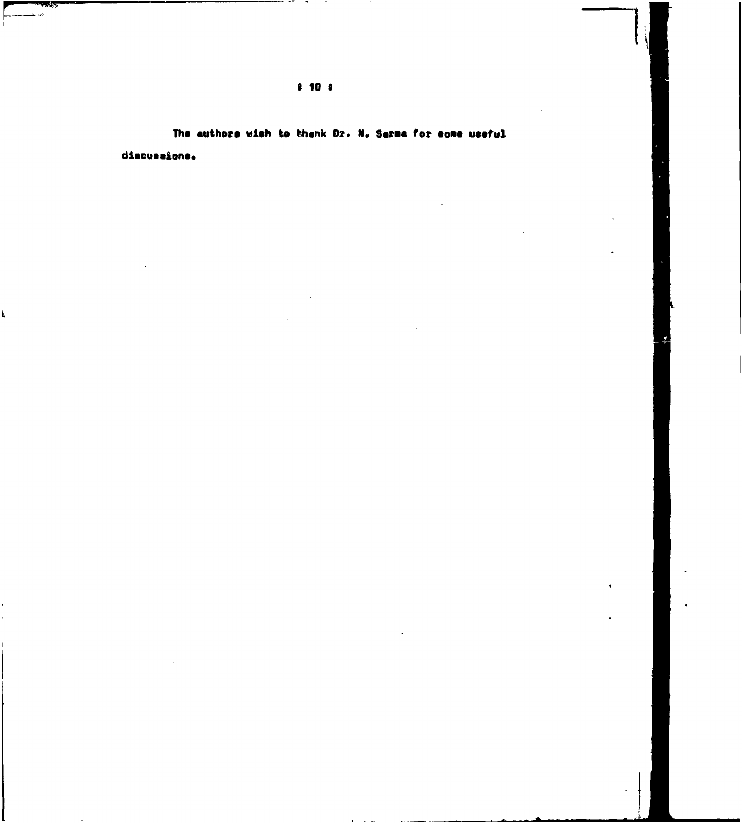# The authors wish to thank Dr. N. Sarma for eome useful discussions.

 $\frac{2}{\sqrt{2}}$ 

 $\overline{a}$ 

 $909$ 

جبان  $\overline{\mathbf{r}}$ 

 $\overline{\mathbf{r}}$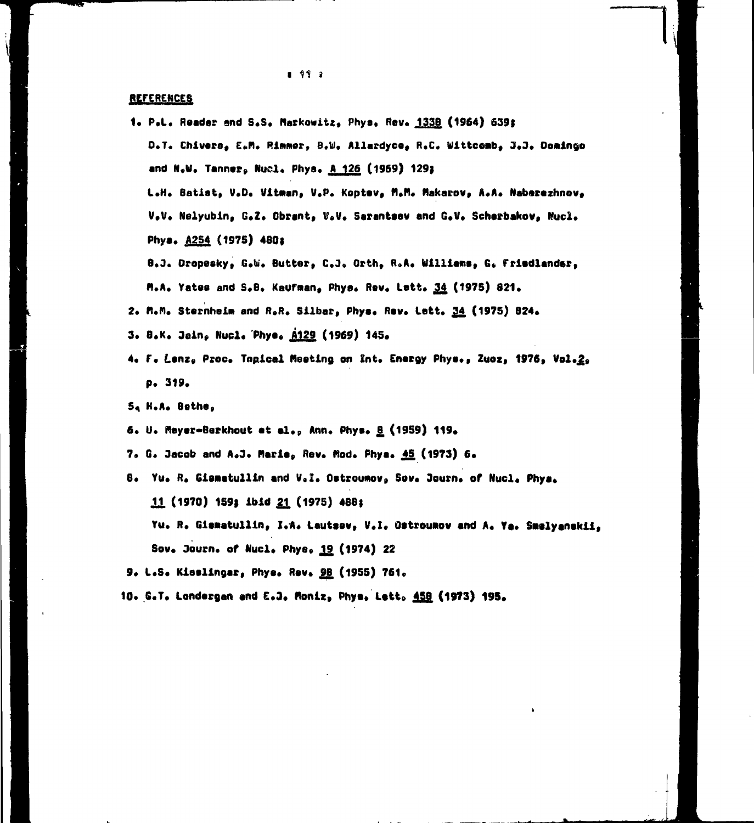## **REFERENCES**

- 1. P.L. Reader and S.S. Markowitz, Phys. Rev. 1338 (1964) 639;
	- **O.T. Chivers» E«n. Rimmer, 8,W. Allardyce» R.C. Uittconb» 3.3. Domingo and N«U. Tanner» Nuel. Phya. A 126 (1969) 129)**

**L.H. Batist, V.D. Vitmen» V.P. Koptov» U.M. flekarov» A.A. Naberazhnov» U.V. Nelyubin» G.Z. Obrant» V«V. Saranttev and G.V. Scherbakov, Nucl. Phya. A2S4 (1975) 4801**

**8\*3. Oropeaky» G.U. Butter» C.3» Orth, R»A. Ullliama» G« Friedlander»** H.A. Yates and S.B. Kaufman, Phys. Rev. Lett. 34 (1975) 821.

- **2. n.M. Sternheim and R.R. Silbar» Phye« Rev. Lett. J34 (1975) 824.**
- **3. 8.K. 3ain» Nupl« Phye» Ä129 (1969) 145.**
- **4. F. Lenz» Proc. Topical Heating on Int. Energy Phye.» Zuoz» 1976» Vol.^» p. 319.**

**5. H.A. Bathe,**

**6. U. fteyer-Berkhout at al.» Ann. Phye. £ (1959) 119»**

**7. G. 3acob and A.3. Harla» Rev. ftod. Phye. ,45 (1973) 6«**

8. Yu. R. Giamatullin and V.I. Ostroumov, Sov. Journ. of Nucl. Phys.

**H . (1970) 1S9f ibid 21 (1975) 488»**

**Yu. R. Gienatullln, I.A. Lautaev» V.l. Oatrounov and A« Ye« Snelyenekil,**

Sov. Journ. of Nucl. Phya. 19 (1974) 22

**9« L.S« Kleelinger» Phye. Rev« 98 (1955) 761.**

**10. CT . Londergan and E.3. donlz» Phye« Lett» 4£B (1973) 195.**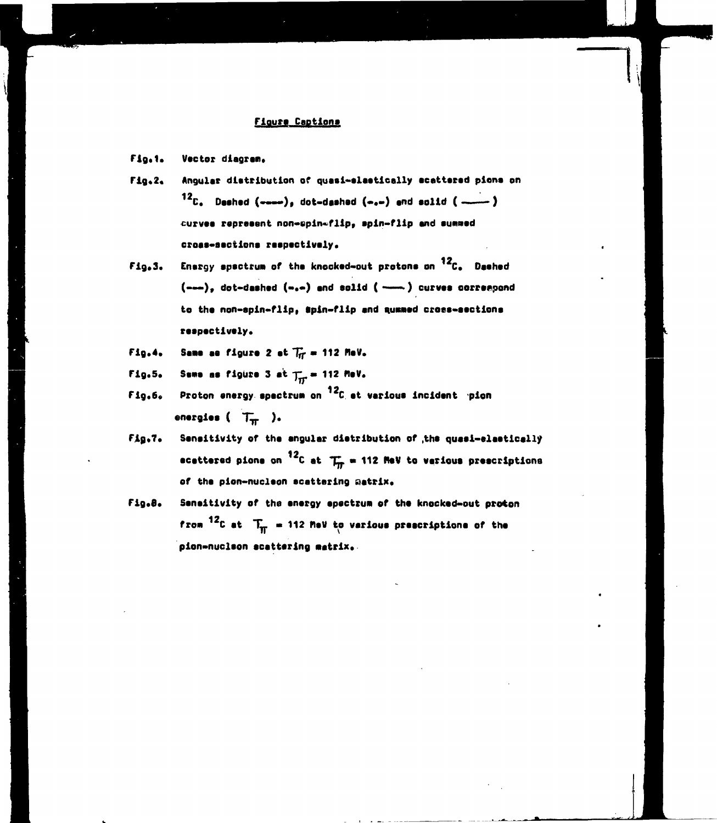# **Figure Captions**

- Fig.1. Vector diagrem.
- Angular distribution of quasi-elastically ecattered pions on Fig.2.  $12c$ . Deshed (----), dot-dashed (-.-) and solid (---) curves represent non-epin-flip, spin-flip and summed cross-sections respectively.
- Energy spactrum of the knocked-out protons on  $^{12}$ C. Deehed  $F19.3.$  $(-\infty)$ , dot-dashed  $(-,-)$  and solid  $(-\infty)$  curves correspond to the non-spin-flip, spin-flip and nummed cross-sections respectively.
- Same as figure 2 at  $T_{ff}$  = 112 MeV. Fig.4.
- Sama as figure 3 at  $\frac{1}{H}$  = 112 MeV.  $Fig.5.$
- Proton energy spectrum on  $12c$  et various incident pion F19.6. energies ( $T_{\overline{n}}$ ).
- Sensitivity of the angular dietribution of the quesi-elactically **Fig.7.** ecettered pione on <sup>12</sup>C at  $T_{\overline{n}} = 112$  MeV to verious prescriptions of the pion-nucleon scattering gatrix.
- Sensitivity of the energy epectrum of the knocked-out proton Fig.B. from <sup>12</sup>C at  $T_{\overline{H}}$  = 112 MeV to various prescriptions of the pion-nuclson scattering matrix.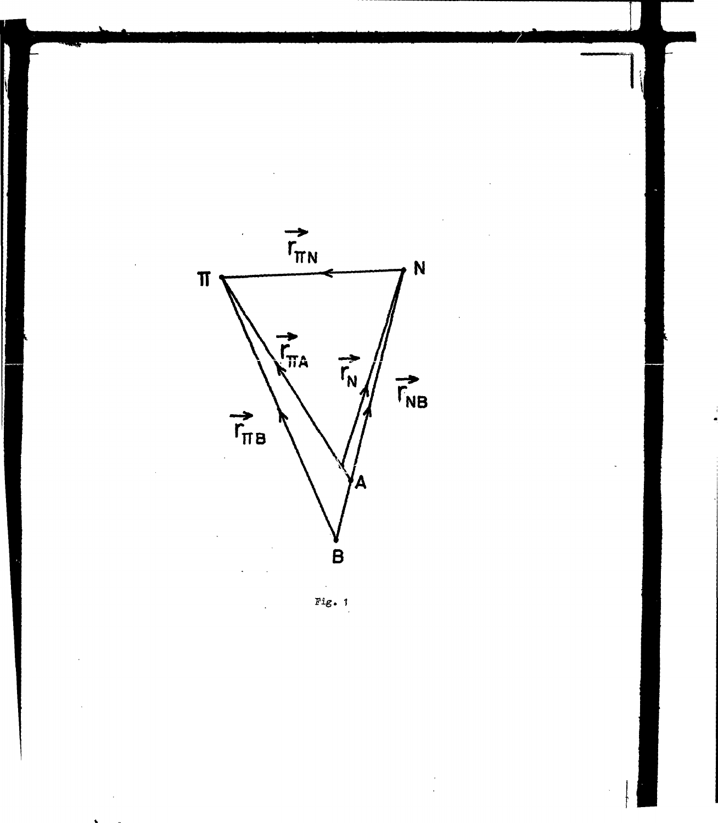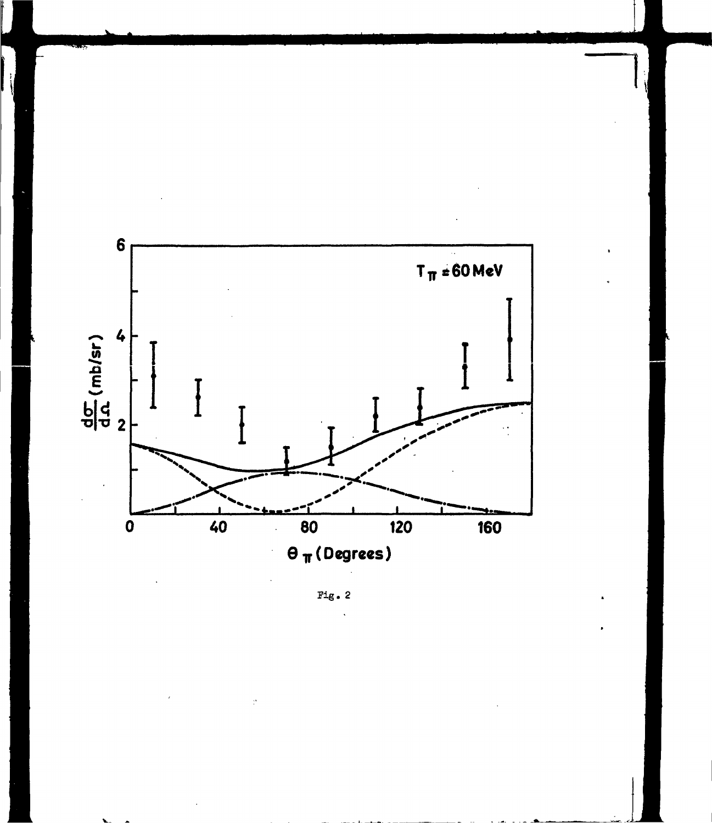

Fig.  $2$ 

ė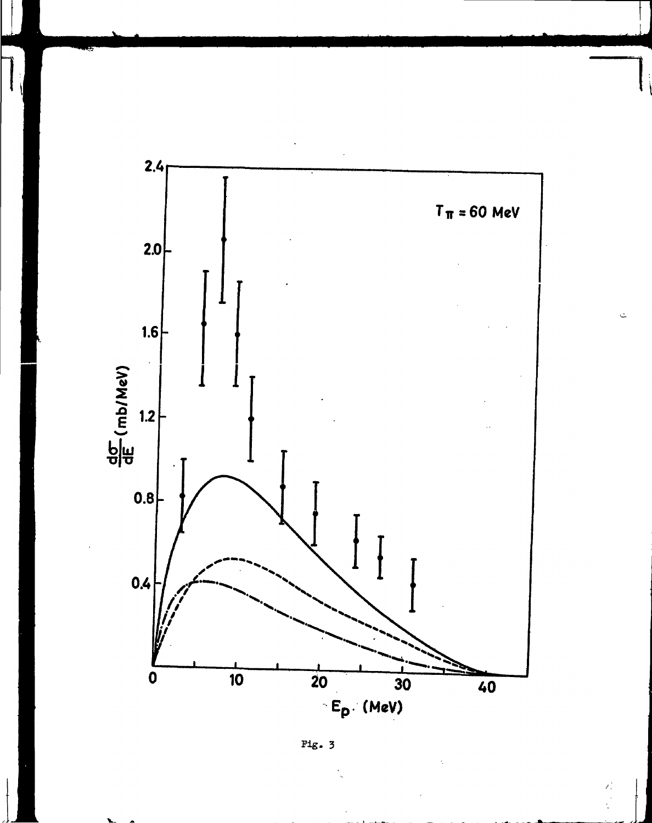

Fig.  $3$ 

 $\begin{array}{c} \mathbf{x}_1^* \\ \vdots \\ \mathbf{x}_n^* \end{array}$ 

 $\mathbb{Z}$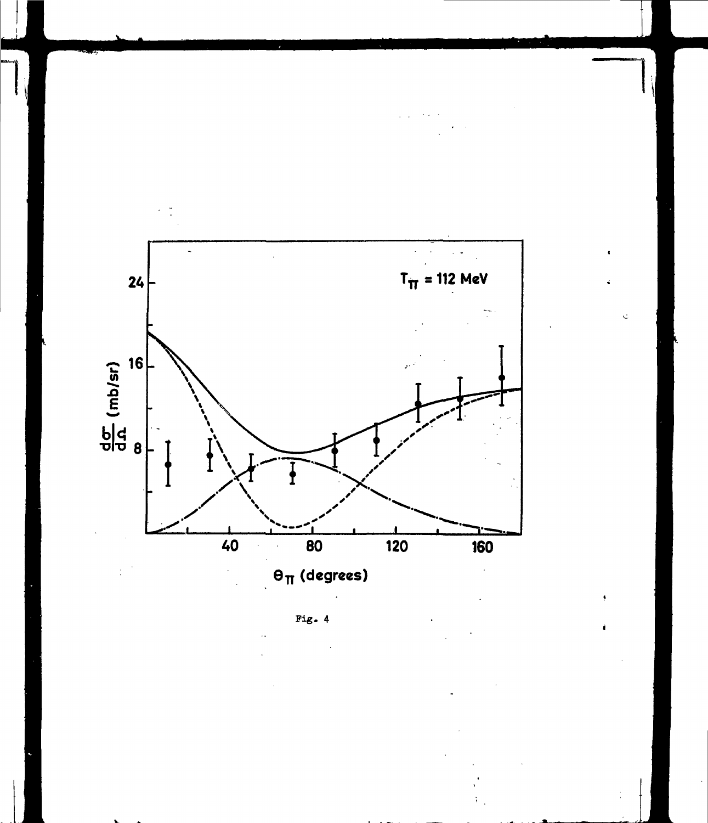

Ċ

Fig.  $4$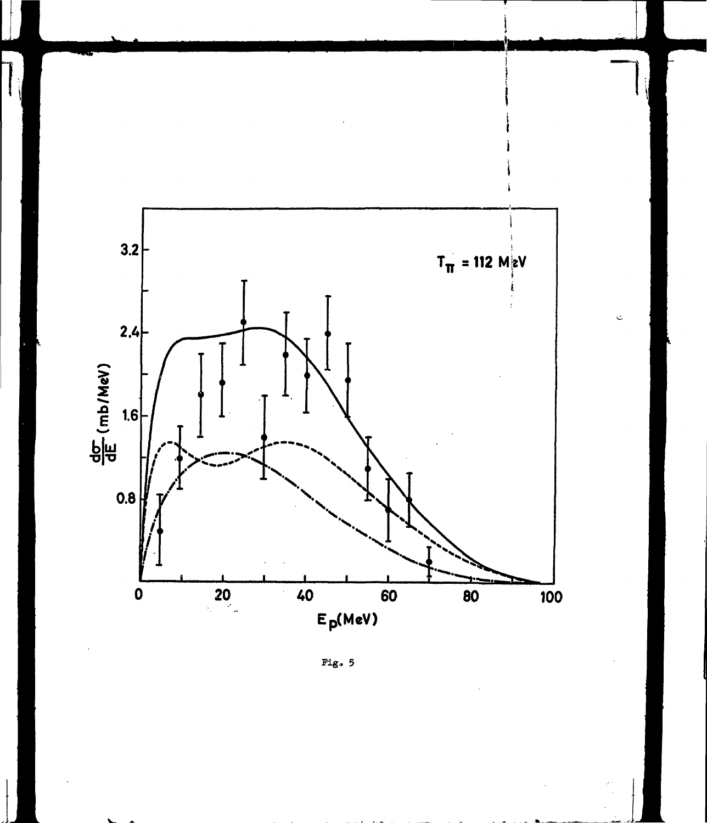

 $\zeta$ 

Fig, 5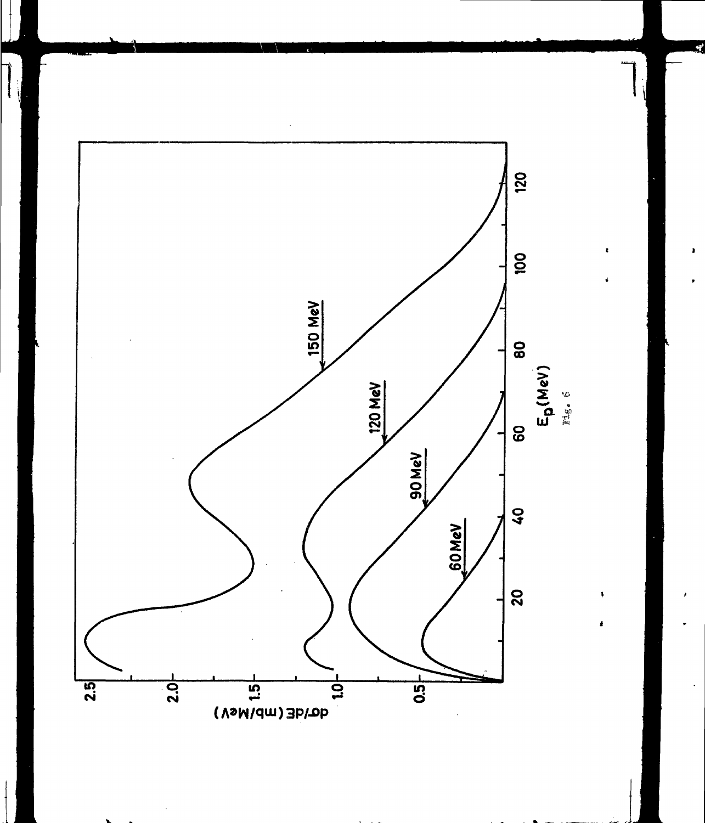

▌

 $\pmb{\epsilon}$ 

 $\pmb{\cdot}$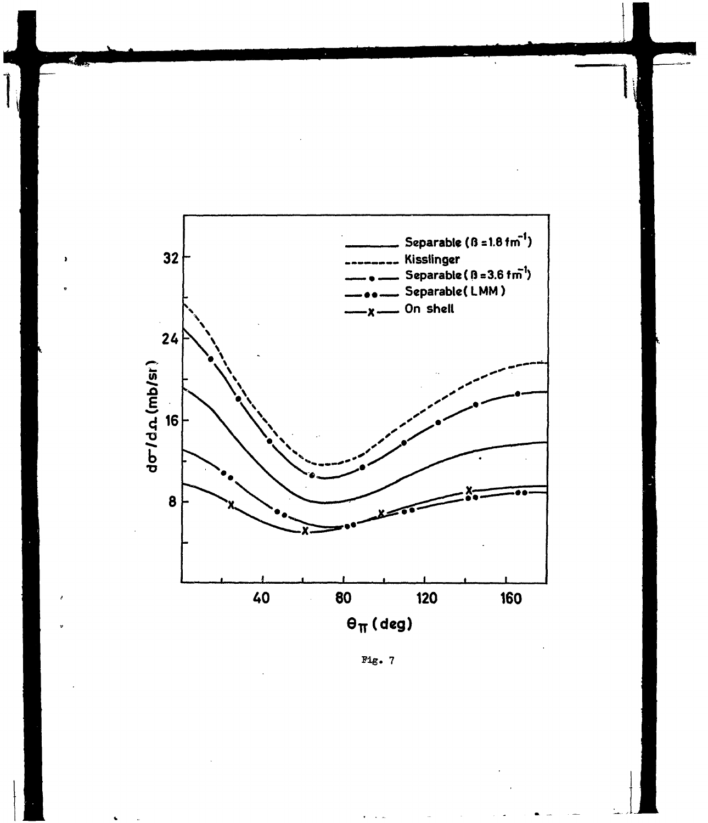

Fig.